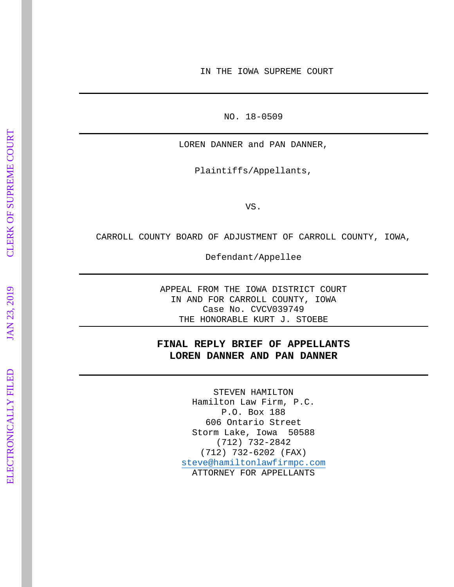IN THE IOWA SUPREME COURT

NO. 18 -0509

LOREN DANNER and PAN DANNER,

Plaintiffs/Appellants,

VS.

CARROLL COUNTY BOARD OF ADJUSTMENT OF CARROLL COUNTY, IOWA,

Defendant/Appellee

APPEAL FROM THE IOWA DISTRICT COURT IN AND FOR CARROLL COUNTY, IOWA Case No. CVCV039749 THE HONORABLE KURT J. STOEBE

# **FINAL REPLY BRIEF OF APPELLANTS LOREN DANNER AND PAN DANNER**

STEVEN HAMILTON Hamilton Law Firm, P.C. P.O. Box 188 606 Ontario Street Storm Lake, Iowa 50588 (712) 732 -2842 (712) 732 -6202 (FAX) [steve@hamiltonlawfirmpc.com](mailto:steve@hamiltonlawfirmpc.com) ATTORNEY FOR APPELLANTS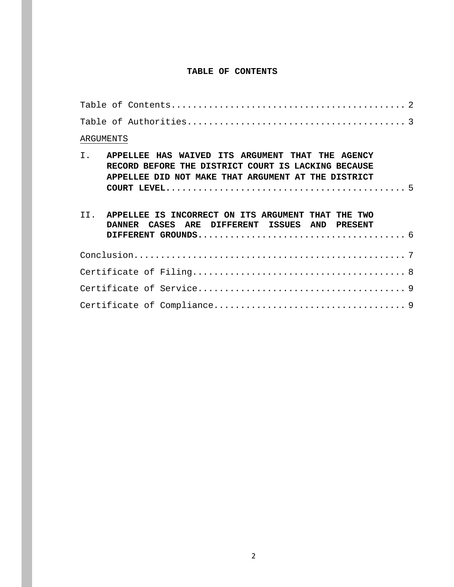# **TABLE OF CONTENTS**

|    | ARGUMENTS                                                                                                                                                      |
|----|----------------------------------------------------------------------------------------------------------------------------------------------------------------|
| I. | APPELLEE HAS WAIVED ITS ARGUMENT THAT THE AGENCY<br>RECORD BEFORE THE DISTRICT COURT IS LACKING BECAUSE<br>APPELLEE DID NOT MAKE THAT ARGUMENT AT THE DISTRICT |
|    | II. APPELLEE IS INCORRECT ON ITS ARGUMENT THAT THE TWO<br>DANNER CASES ARE DIFFERENT ISSUES AND PRESENT                                                        |
|    |                                                                                                                                                                |
|    |                                                                                                                                                                |
|    |                                                                                                                                                                |
|    |                                                                                                                                                                |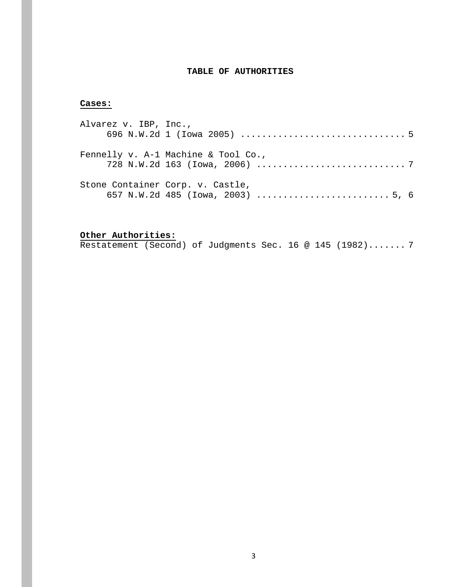# **TABLE OF AUTHORITIES**

# **Cases:**

| Alvarez v. IBP, Inc., |                                     |  |
|-----------------------|-------------------------------------|--|
|                       |                                     |  |
|                       | Fennelly v. A-1 Machine & Tool Co., |  |
|                       | Stone Container Corp. v. Castle,    |  |

**Other Authorities:** Restatement (Second) of Judgments Sec. 16 @ 145 (1982)....... 7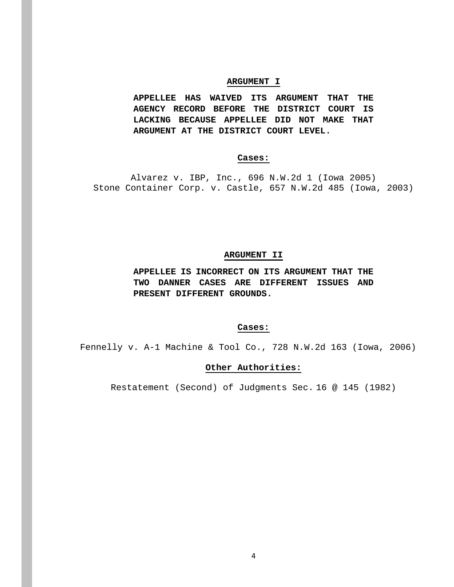### **ARGUMENT I**

**APPELLEE HAS WAIVED ITS ARGUMENT THAT THE AGENCY RECORD BEFORE THE DISTRICT COURT IS LACKING BECAUSE APPELLEE DID NOT MAKE THAT ARGUMENT AT THE DISTRICT COURT LEVEL.**

# **Cases:**

Alvarez v. IBP, Inc., 696 N.W.2d 1 (Iowa 2005) Stone Container Corp. v. Castle, 657 N.W.2d 485 (Iowa, 2003)

## **ARGUMENT II**

**APPELLEE IS INCORRECT ON ITS ARGUMENT THAT THE TWO DANNER CASES ARE DIFFERENT ISSUES AND PRESENT DIFFERENT GROUNDS.**

#### **Cases:**

Fennelly v. A-1 Machine & Tool Co., 728 N.W.2d 163 (Iowa, 2006)

## **Other Authorities:**

Restatement (Second) of Judgments Sec. 16 @ 145 (1982)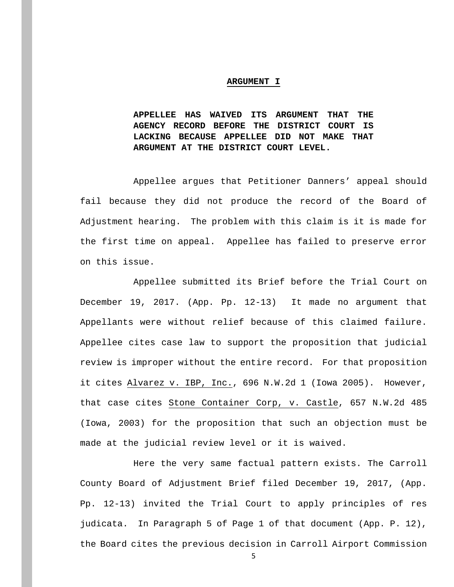#### **ARGUMENT I**

**APPELLEE HAS WAIVED ITS ARGUMENT THAT THE AGENCY RECORD BEFORE THE DISTRICT COURT IS LACKING BECAUSE APPELLEE DID NOT MAKE THAT ARGUMENT AT THE DISTRICT COURT LEVEL.**

Appellee argues that Petitioner Danners' appeal should fail because they did not produce the record of the Board of Adjustment hearing. The problem with this claim is it is made for the first time on appeal. Appellee has failed to preserve error on this issue.

Appellee submitted its Brief before the Trial Court on December 19, 2017. (App. Pp. 12-13) It made no argument that Appellants were without relief because of this claimed failure. Appellee cites case law to support the proposition that judicial review is improper without the entire record. For that proposition it cites Alvarez v. IBP, Inc., 696 N.W.2d 1 (Iowa 2005). However, that case cites Stone Container Corp, v. Castle, 657 N.W.2d 485 (Iowa, 2003) for the proposition that such an objection must be made at the judicial review level or it is waived.

Here the very same factual pattern exists. The Carroll County Board of Adjustment Brief filed December 19, 2017, (App. Pp. 12-13) invited the Trial Court to apply principles of res judicata. In Paragraph 5 of Page 1 of that document (App. P. 12), the Board cites the previous decision in Carroll Airport Commission

5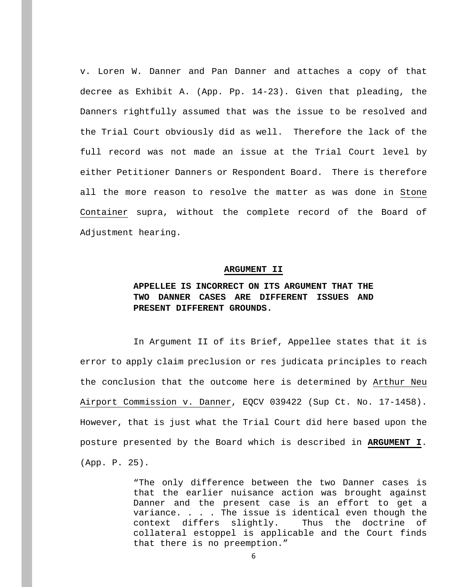v. Loren W. Danner and Pan Danner and attaches a copy of that decree as Exhibit A. (App. Pp. 14-23). Given that pleading, the Danners rightfully assumed that was the issue to be resolved and the Trial Court obviously did as well. Therefore the lack of the full record was not made an issue at the Trial Court level by either Petitioner Danners or Respondent Board. There is therefore all the more reason to resolve the matter as was done in Stone Container supra, without the complete record of the Board of Adjustment hearing.

#### **ARGUMENT II**

# **APPELLEE IS INCORRECT ON ITS ARGUMENT THAT THE TWO DANNER CASES ARE DIFFERENT ISSUES AND PRESENT DIFFERENT GROUNDS.**

In Argument II of its Brief, Appellee states that it is error to apply claim preclusion or res judicata principles to reach the conclusion that the outcome here is determined by Arthur Neu Airport Commission v. Danner, EQCV 039422 (Sup Ct. No. 17-1458). However, that is just what the Trial Court did here based upon the posture presented by the Board which is described in **ARGUMENT I**. (App. P. 25).

> "The only difference between the two Danner cases is that the earlier nuisance action was brought against Danner and the present case is an effort to get a variance. . . . The issue is identical even though the context differs slightly. Thus the doctrine of context differs slightly. Thus the doctrine of collateral estoppel is applicable and the Court finds that there is no preemption."

> > 6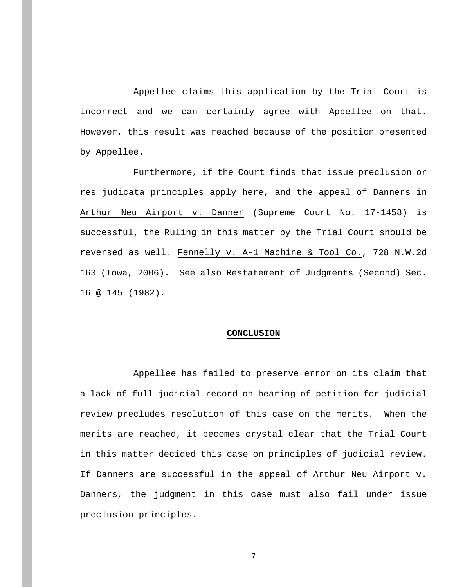Appellee claims this application by the Trial Court is incorrect and we can certainly agree with Appellee on that. However, this result was reached because of the position presented by Appellee.

Furthermore, if the Court finds that issue preclusion or res judicata principles apply here, and the appeal of Danners in Arthur Neu Airport v. Danner (Supreme Court No. 17-1458) is successful, the Ruling in this matter by the Trial Court should be reversed as well. Fennelly v. A-1 Machine & Tool Co., 728 N.W.2d 163 (Iowa, 2006).See also Restatement of Judgments (Second) Sec. 16 @ 145 (1982).

#### **CONCLUSION**

Appellee has failed to preserve error on its claim that a lack of full judicial record on hearing of petition for judicial review precludes resolution of this case on the merits. When the merits are reached, it becomes crystal clear that the Trial Court in this matter decided this case on principles of judicial review. If Danners are successful in the appeal of Arthur Neu Airport v. Danners, the judgment in this case must also fail under issue preclusion principles.

7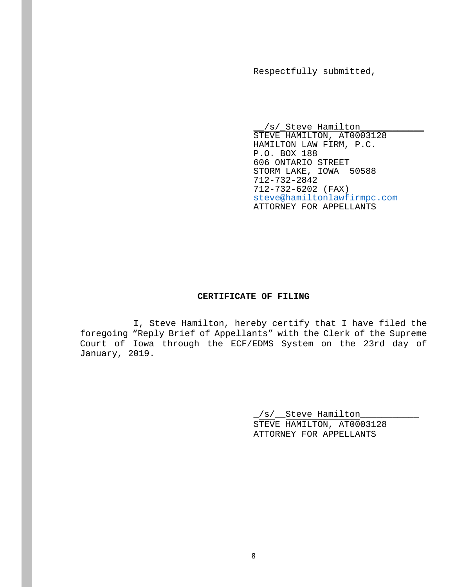Respectfully submitted,

\_\_/s/\_Steve Hamilton\_\_\_\_\_\_\_\_\_\_\_\_ STEVE HAMILTON, AT0003128 HAMILTON LAW FIRM, P.C. P.O. BOX 188 606 ONTARIO STREET STORM LAKE, IOWA 50588 712-732-2842 712-732-6202 (FAX) [steve@hamiltonlawfirmpc.com](mailto:steve@hamiltonlawfirmpc.com) ATTORNEY FOR APPELLANTS

#### **CERTIFICATE OF FILING**

I, Steve Hamilton, hereby certify that I have filed the foregoing "Reply Brief of Appellants" with the Clerk of the Supreme Court of Iowa through the ECF/EDMS System on the 23rd day of January, 2019.

> \_/s/\_\_Steve Hamilton\_\_\_\_\_\_\_\_\_\_\_ STEVE HAMILTON, AT0003128 ATTORNEY FOR APPELLANTS